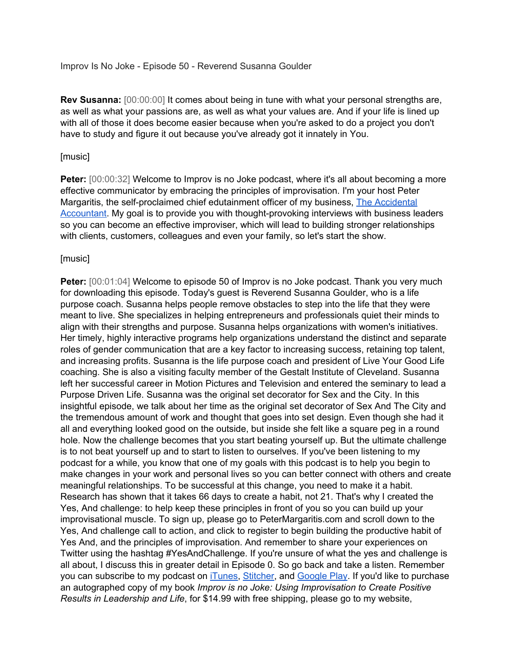Improv Is No Joke - Episode 50 - Reverend Susanna Goulder

**Rev Susanna:** [00:00:00] It comes about being in tune with what your personal strengths are, as well as what your passions are, as well as what your values are. And if your life is lined up with all of those it does become easier because when you're asked to do a project you don't have to study and figure it out because you've already got it innately in You.

#### [music]

**Peter:** [00:00:32] Welcome to Improv is no Joke podcast, where it's all about becoming a more effective communicator by embracing the principles of improvisation. I'm your host Peter Margaritis, the self-proclaimed chief edutainment officer of my business, The [Accidental](http://petermargaritis.com/) [Accountant.](http://petermargaritis.com/) My goal is to provide you with thought-provoking interviews with business leaders so you can become an effective improviser, which will lead to building stronger relationships with clients, customers, colleagues and even your family, so let's start the show.

## [music]

**Peter:** [00:01:04] Welcome to episode 50 of Improv is no Joke podcast. Thank you very much for downloading this episode. Today's guest is Reverend Susanna Goulder, who is a life purpose coach. Susanna helps people remove obstacles to step into the life that they were meant to live. She specializes in helping entrepreneurs and professionals quiet their minds to align with their strengths and purpose. Susanna helps organizations with women's initiatives. Her timely, highly interactive programs help organizations understand the distinct and separate roles of gender communication that are a key factor to increasing success, retaining top talent, and increasing profits. Susanna is the life purpose coach and president of Live Your Good Life coaching. She is also a visiting faculty member of the Gestalt Institute of Cleveland. Susanna left her successful career in Motion Pictures and Television and entered the seminary to lead a Purpose Driven Life. Susanna was the original set decorator for Sex and the City. In this insightful episode, we talk about her time as the original set decorator of Sex And The City and the tremendous amount of work and thought that goes into set design. Even though she had it all and everything looked good on the outside, but inside she felt like a square peg in a round hole. Now the challenge becomes that you start beating yourself up. But the ultimate challenge is to not beat yourself up and to start to listen to ourselves. If you've been listening to my podcast for a while, you know that one of my goals with this podcast is to help you begin to make changes in your work and personal lives so you can better connect with others and create meaningful relationships. To be successful at this change, you need to make it a habit. Research has shown that it takes 66 days to create a habit, not 21. That's why I created the Yes, And challenge: to help keep these principles in front of you so you can build up your improvisational muscle. To sign up, please go to PeterMargaritis.com and scroll down to the Yes, And challenge call to action, and click to register to begin building the productive habit of Yes And, and the principles of improvisation. And remember to share your experiences on Twitter using the hashtag #YesAndChallenge. If you're unsure of what the yes and challenge is all about, I discuss this in greater detail in Episode 0. So go back and take a listen. Remember you can subscribe to my podcast on *iTunes*, [Stitcher,](http://www.stitcher.com/podcast/music-evo-review/improv-is-no-joke) and [Google](https://play.google.com/music/listen#/ps/Ixnlrql5vhi23euozbnfrhzeylm) Play. If you'd like to purchase an autographed copy of my book *Improv is no Joke: Using Improvisation to Create Positive Results in Leadership and Life*, for \$14.99 with free shipping, please go to my website,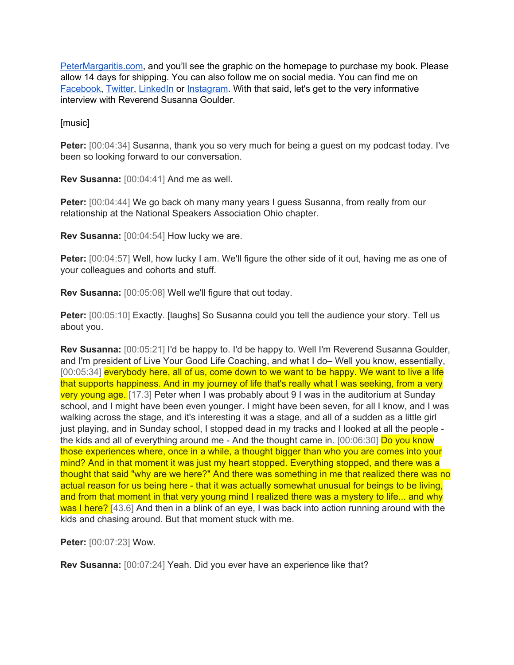[PeterMargaritis.com,](http://petermargaritis.com/) and you'll see the graphic on the homepage to purchase my book. Please allow 14 days for shipping. You can also follow me on social media. You can find me on [Facebook,](https://www.facebook.com/theaccidentalaccountant) [Twitter,](https://twitter.com/pmargaritis) [LinkedIn](https://www.linkedin.com/in/petermargaritis/) or [Instagram.](https://www.instagram.com/pmargaritis/?hl=en) With that said, let's get to the very informative interview with Reverend Susanna Goulder.

[music]

**Peter:** [00:04:34] Susanna, thank you so very much for being a quest on my podcast today. I've been so looking forward to our conversation.

**Rev Susanna:** [00:04:41] And me as well.

**Peter:** [00:04:44] We go back oh many many years I guess Susanna, from really from our relationship at the National Speakers Association Ohio chapter.

**Rev Susanna:** [00:04:54] How lucky we are.

Peter: [00:04:57] Well, how lucky I am. We'll figure the other side of it out, having me as one of your colleagues and cohorts and stuff.

**Rev Susanna:** [00:05:08] Well we'll figure that out today.

**Peter:** [00:05:10] Exactly. [laughs] So Susanna could you tell the audience your story. Tell us about you.

**Rev Susanna:** [00:05:21] I'd be happy to. I'd be happy to. Well I'm Reverend Susanna Goulder, and I'm president of Live Your Good Life Coaching, and what I do– Well you know, essentially, [00:05:34] everybody here, all of us, come down to we want to be happy. We want to live a life that supports happiness. And in my journey of life that's really what I was seeking, from a very very young age. [17.3] Peter when I was probably about 9 I was in the auditorium at Sunday school, and I might have been even younger. I might have been seven, for all I know, and I was walking across the stage, and it's interesting it was a stage, and all of a sudden as a little girl just playing, and in Sunday school, I stopped dead in my tracks and I looked at all the people the kids and all of everything around me - And the thought came in. [00:06:30] Do you know those experiences where, once in a while, a thought bigger than who you are comes into your mind? And in that moment it was just my heart stopped. Everything stopped, and there was a thought that said "why are we here?" And there was something in me that realized there was no actual reason for us being here - that it was actually somewhat unusual for beings to be living, and from that moment in that very young mind I realized there was a mystery to life... and why was I here? [43.6] And then in a blink of an eye, I was back into action running around with the kids and chasing around. But that moment stuck with me.

**Peter:** [00:07:23] Wow.

**Rev Susanna:** [00:07:24] Yeah. Did you ever have an experience like that?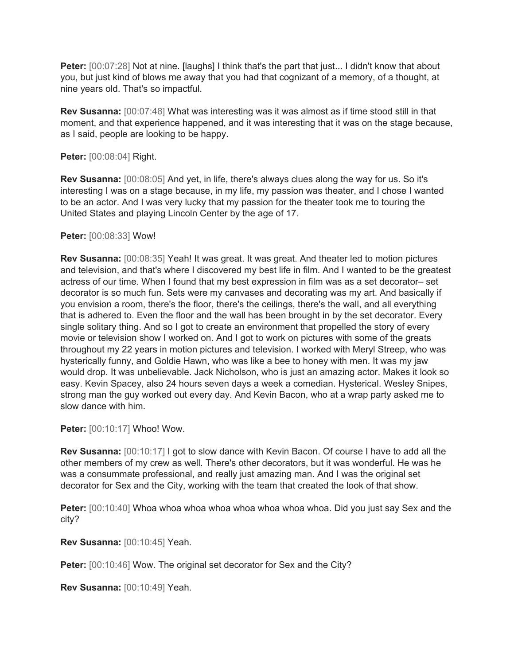**Peter:** [00:07:28] Not at nine. [laughs] I think that's the part that just... I didn't know that about you, but just kind of blows me away that you had that cognizant of a memory, of a thought, at nine years old. That's so impactful.

**Rev Susanna:** [00:07:48] What was interesting was it was almost as if time stood still in that moment, and that experience happened, and it was interesting that it was on the stage because, as I said, people are looking to be happy.

**Peter:** [00:08:04] Right.

**Rev Susanna:** [00:08:05] And yet, in life, there's always clues along the way for us. So it's interesting I was on a stage because, in my life, my passion was theater, and I chose I wanted to be an actor. And I was very lucky that my passion for the theater took me to touring the United States and playing Lincoln Center by the age of 17.

## **Peter:** [00:08:33] Wow!

**Rev Susanna:** [00:08:35] Yeah! It was great. It was great. And theater led to motion pictures and television, and that's where I discovered my best life in film. And I wanted to be the greatest actress of our time. When I found that my best expression in film was as a set decorator– set decorator is so much fun. Sets were my canvases and decorating was my art. And basically if you envision a room, there's the floor, there's the ceilings, there's the wall, and all everything that is adhered to. Even the floor and the wall has been brought in by the set decorator. Every single solitary thing. And so I got to create an environment that propelled the story of every movie or television show I worked on. And I got to work on pictures with some of the greats throughout my 22 years in motion pictures and television. I worked with Meryl Streep, who was hysterically funny, and Goldie Hawn, who was like a bee to honey with men. It was my jaw would drop. It was unbelievable. Jack Nicholson, who is just an amazing actor. Makes it look so easy. Kevin Spacey, also 24 hours seven days a week a comedian. Hysterical. Wesley Snipes, strong man the guy worked out every day. And Kevin Bacon, who at a wrap party asked me to slow dance with him.

**Peter:** [00:10:17] Whoo! Wow.

**Rev Susanna:** [00:10:17] I got to slow dance with Kevin Bacon. Of course I have to add all the other members of my crew as well. There's other decorators, but it was wonderful. He was he was a consummate professional, and really just amazing man. And I was the original set decorator for Sex and the City, working with the team that created the look of that show.

Peter: [00:10:40] Whoa whoa whoa whoa whoa whoa whoa whoa. Did you just say Sex and the city?

**Rev Susanna:** [00:10:45] Yeah.

**Peter:** [00:10:46] Wow. The original set decorator for Sex and the City?

**Rev Susanna:** [00:10:49] Yeah.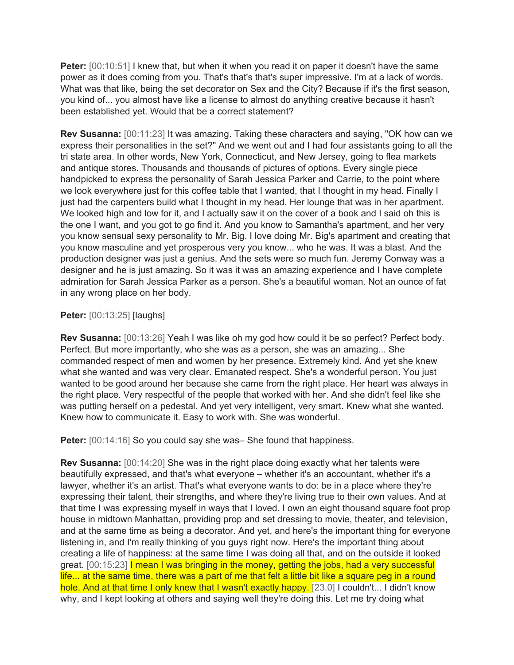**Peter:**  $[00:10:51]$  I knew that, but when it when you read it on paper it doesn't have the same power as it does coming from you. That's that's that's super impressive. I'm at a lack of words. What was that like, being the set decorator on Sex and the City? Because if it's the first season, you kind of... you almost have like a license to almost do anything creative because it hasn't been established yet. Would that be a correct statement?

**Rev Susanna:** [00:11:23] It was amazing. Taking these characters and saying, "OK how can we express their personalities in the set?" And we went out and I had four assistants going to all the tri state area. In other words, New York, Connecticut, and New Jersey, going to flea markets and antique stores. Thousands and thousands of pictures of options. Every single piece handpicked to express the personality of Sarah Jessica Parker and Carrie, to the point where we look everywhere just for this coffee table that I wanted, that I thought in my head. Finally I just had the carpenters build what I thought in my head. Her lounge that was in her apartment. We looked high and low for it, and I actually saw it on the cover of a book and I said oh this is the one I want, and you got to go find it. And you know to Samantha's apartment, and her very you know sensual sexy personality to Mr. Big. I love doing Mr. Big's apartment and creating that you know masculine and yet prosperous very you know... who he was. It was a blast. And the production designer was just a genius. And the sets were so much fun. Jeremy Conway was a designer and he is just amazing. So it was it was an amazing experience and I have complete admiration for Sarah Jessica Parker as a person. She's a beautiful woman. Not an ounce of fat in any wrong place on her body.

**Peter:** [00:13:25] [laughs]

**Rev Susanna:** [00:13:26] Yeah I was like oh my god how could it be so perfect? Perfect body. Perfect. But more importantly, who she was as a person, she was an amazing... She commanded respect of men and women by her presence. Extremely kind. And yet she knew what she wanted and was very clear. Emanated respect. She's a wonderful person. You just wanted to be good around her because she came from the right place. Her heart was always in the right place. Very respectful of the people that worked with her. And she didn't feel like she was putting herself on a pedestal. And yet very intelligent, very smart. Knew what she wanted. Knew how to communicate it. Easy to work with. She was wonderful.

**Peter:** [00:14:16] So you could say she was– She found that happiness.

**Rev Susanna:** [00:14:20] She was in the right place doing exactly what her talents were beautifully expressed, and that's what everyone – whether it's an accountant, whether it's a lawyer, whether it's an artist. That's what everyone wants to do: be in a place where they're expressing their talent, their strengths, and where they're living true to their own values. And at that time I was expressing myself in ways that I loved. I own an eight thousand square foot prop house in midtown Manhattan, providing prop and set dressing to movie, theater, and television, and at the same time as being a decorator. And yet, and here's the important thing for everyone listening in, and I'm really thinking of you guys right now. Here's the important thing about creating a life of happiness: at the same time I was doing all that, and on the outside it looked great. [00:15:23] I mean I was bringing in the money, getting the jobs, had a very successful life... at the same time, there was a part of me that felt a little bit like a square peg in a round hole. And at that time I only knew that I wasn't exactly happy. [23.0] I couldn't... I didn't know why, and I kept looking at others and saying well they're doing this. Let me try doing what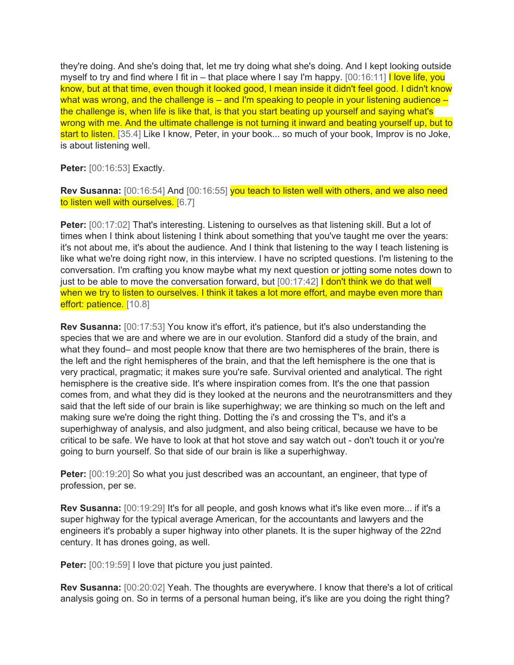they're doing. And she's doing that, let me try doing what she's doing. And I kept looking outside myself to try and find where I fit in – that place where I say I'm happy.  $[00:16:11]$  love life, you know, but at that time, even though it looked good, I mean inside it didn't feel good. I didn't know what was wrong, and the challenge is – and I'm speaking to people in your listening audience – the challenge is, when life is like that, is that you start beating up yourself and saying what's wrong with me. And the ultimate challenge is not turning it inward and beating yourself up, but to start to listen. [35.4] Like I know, Peter, in your book... so much of your book, Improv is no Joke, is about listening well.

**Peter:** [00:16:53] Exactly.

**Rev Susanna:** [00:16:54] And [00:16:55] you teach to listen well with others, and we also need to listen well with ourselves. [6.7]

Peter: [00:17:02] That's interesting. Listening to ourselves as that listening skill. But a lot of times when I think about listening I think about something that you've taught me over the years: it's not about me, it's about the audience. And I think that listening to the way I teach listening is like what we're doing right now, in this interview. I have no scripted questions. I'm listening to the conversation. I'm crafting you know maybe what my next question or jotting some notes down to just to be able to move the conversation forward, but  $[00:17:42]$  I don't think we do that well when we try to listen to ourselves. I think it takes a lot more effort, and maybe even more than effort: patience. [10.8]

**Rev Susanna:** [00:17:53] You know it's effort, it's patience, but it's also understanding the species that we are and where we are in our evolution. Stanford did a study of the brain, and what they found– and most people know that there are two hemispheres of the brain, there is the left and the right hemispheres of the brain, and that the left hemisphere is the one that is very practical, pragmatic; it makes sure you're safe. Survival oriented and analytical. The right hemisphere is the creative side. It's where inspiration comes from. It's the one that passion comes from, and what they did is they looked at the neurons and the neurotransmitters and they said that the left side of our brain is like superhighway; we are thinking so much on the left and making sure we're doing the right thing. Dotting the i's and crossing the T's, and it's a superhighway of analysis, and also judgment, and also being critical, because we have to be critical to be safe. We have to look at that hot stove and say watch out - don't touch it or you're going to burn yourself. So that side of our brain is like a superhighway.

**Peter:** [00:19:20] So what you just described was an accountant, an engineer, that type of profession, per se.

**Rev Susanna:** [00:19:29] It's for all people, and gosh knows what it's like even more... if it's a super highway for the typical average American, for the accountants and lawyers and the engineers it's probably a super highway into other planets. It is the super highway of the 22nd century. It has drones going, as well.

**Peter:** [00:19:59] I love that picture you just painted.

**Rev Susanna:** [00:20:02] Yeah. The thoughts are everywhere. I know that there's a lot of critical analysis going on. So in terms of a personal human being, it's like are you doing the right thing?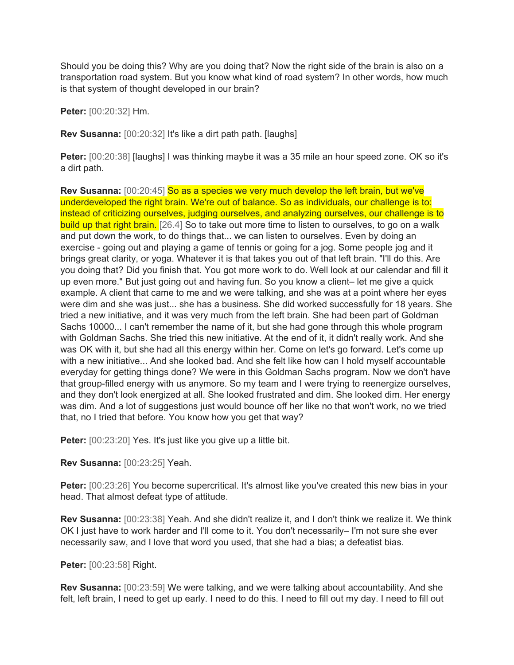Should you be doing this? Why are you doing that? Now the right side of the brain is also on a transportation road system. But you know what kind of road system? In other words, how much is that system of thought developed in our brain?

**Peter:** [00:20:32] Hm.

**Rev Susanna:** [00:20:32] It's like a dirt path path. [laughs]

**Peter:** [00:20:38] [laughs] I was thinking maybe it was a 35 mile an hour speed zone. OK so it's a dirt path.

**Rev Susanna:** [00:20:45] So as a species we very much develop the left brain, but we've underdeveloped the right brain. We're out of balance. So as individuals, our challenge is to: instead of criticizing ourselves, judging ourselves, and analyzing ourselves, our challenge is to build up that right brain. [26.4] So to take out more time to listen to ourselves, to go on a walk and put down the work, to do things that... we can listen to ourselves. Even by doing an exercise - going out and playing a game of tennis or going for a jog. Some people jog and it brings great clarity, or yoga. Whatever it is that takes you out of that left brain. "I'll do this. Are you doing that? Did you finish that. You got more work to do. Well look at our calendar and fill it up even more." But just going out and having fun. So you know a client– let me give a quick example. A client that came to me and we were talking, and she was at a point where her eyes were dim and she was just... she has a business. She did worked successfully for 18 years. She tried a new initiative, and it was very much from the left brain. She had been part of Goldman Sachs 10000... I can't remember the name of it, but she had gone through this whole program with Goldman Sachs. She tried this new initiative. At the end of it, it didn't really work. And she was OK with it, but she had all this energy within her. Come on let's go forward. Let's come up with a new initiative... And she looked bad. And she felt like how can I hold myself accountable everyday for getting things done? We were in this Goldman Sachs program. Now we don't have that group-filled energy with us anymore. So my team and I were trying to reenergize ourselves, and they don't look energized at all. She looked frustrated and dim. She looked dim. Her energy was dim. And a lot of suggestions just would bounce off her like no that won't work, no we tried that, no I tried that before. You know how you get that way?

**Peter:** [00:23:20] Yes. It's just like you give up a little bit.

**Rev Susanna:** [00:23:25] Yeah.

**Peter:** [00:23:26] You become supercritical. It's almost like you've created this new bias in your head. That almost defeat type of attitude.

**Rev Susanna:** [00:23:38] Yeah. And she didn't realize it, and I don't think we realize it. We think OK I just have to work harder and I'll come to it. You don't necessarily– I'm not sure she ever necessarily saw, and I love that word you used, that she had a bias; a defeatist bias.

**Peter:** [00:23:58] Right.

**Rev Susanna:** [00:23:59] We were talking, and we were talking about accountability. And she felt, left brain, I need to get up early. I need to do this. I need to fill out my day. I need to fill out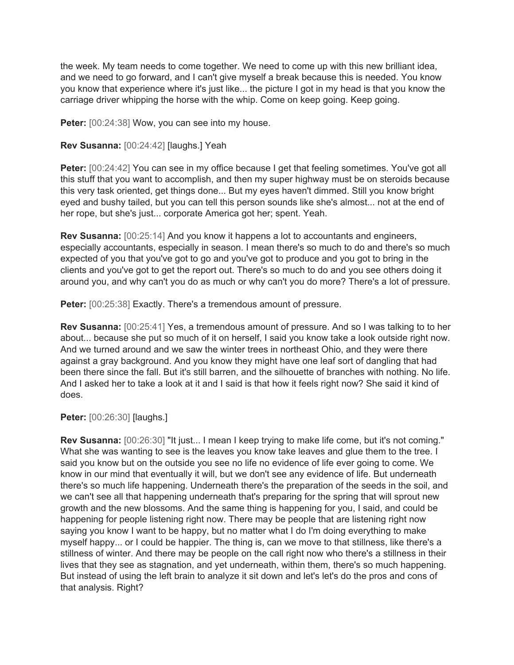the week. My team needs to come together. We need to come up with this new brilliant idea, and we need to go forward, and I can't give myself a break because this is needed. You know you know that experience where it's just like... the picture I got in my head is that you know the carriage driver whipping the horse with the whip. Come on keep going. Keep going.

Peter: [00:24:38] Wow, you can see into my house.

## **Rev Susanna:** [00:24:42] [laughs.] Yeah

**Peter:** [00:24:42] You can see in my office because I get that feeling sometimes. You've got all this stuff that you want to accomplish, and then my super highway must be on steroids because this very task oriented, get things done... But my eyes haven't dimmed. Still you know bright eyed and bushy tailed, but you can tell this person sounds like she's almost... not at the end of her rope, but she's just... corporate America got her; spent. Yeah.

**Rev Susanna:** [00:25:14] And you know it happens a lot to accountants and engineers, especially accountants, especially in season. I mean there's so much to do and there's so much expected of you that you've got to go and you've got to produce and you got to bring in the clients and you've got to get the report out. There's so much to do and you see others doing it around you, and why can't you do as much or why can't you do more? There's a lot of pressure.

Peter: [00:25:38] Exactly. There's a tremendous amount of pressure.

**Rev Susanna:** [00:25:41] Yes, a tremendous amount of pressure. And so I was talking to to her about... because she put so much of it on herself, I said you know take a look outside right now. And we turned around and we saw the winter trees in northeast Ohio, and they were there against a gray background. And you know they might have one leaf sort of dangling that had been there since the fall. But it's still barren, and the silhouette of branches with nothing. No life. And I asked her to take a look at it and I said is that how it feels right now? She said it kind of does.

**Peter:** [00:26:30] [laughs.]

**Rev Susanna:** [00:26:30] "It just... I mean I keep trying to make life come, but it's not coming." What she was wanting to see is the leaves you know take leaves and glue them to the tree. I said you know but on the outside you see no life no evidence of life ever going to come. We know in our mind that eventually it will, but we don't see any evidence of life. But underneath there's so much life happening. Underneath there's the preparation of the seeds in the soil, and we can't see all that happening underneath that's preparing for the spring that will sprout new growth and the new blossoms. And the same thing is happening for you, I said, and could be happening for people listening right now. There may be people that are listening right now saying you know I want to be happy, but no matter what I do I'm doing everything to make myself happy... or I could be happier. The thing is, can we move to that stillness, like there's a stillness of winter. And there may be people on the call right now who there's a stillness in their lives that they see as stagnation, and yet underneath, within them, there's so much happening. But instead of using the left brain to analyze it sit down and let's let's do the pros and cons of that analysis. Right?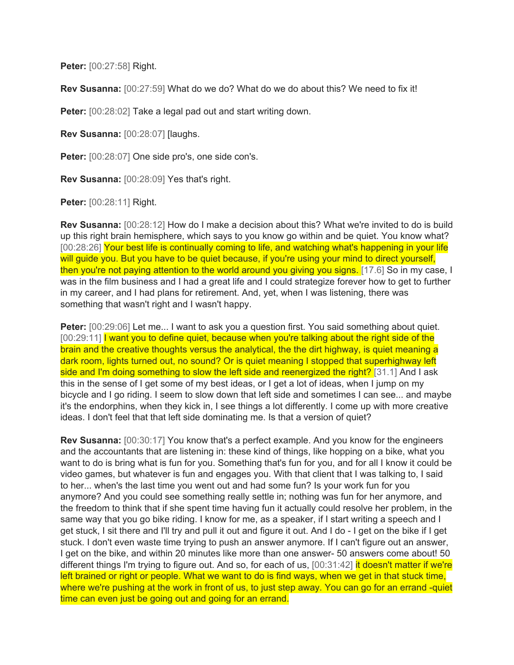**Peter:** [00:27:58] Right.

**Rev Susanna:** [00:27:59] What do we do? What do we do about this? We need to fix it!

**Peter:** [00:28:02] Take a legal pad out and start writing down.

**Rev Susanna:** [00:28:07] [laughs.

Peter: [00:28:07] One side pro's, one side con's.

**Rev Susanna:** [00:28:09] Yes that's right.

**Peter:** [00:28:11] Right.

**Rev Susanna:** [00:28:12] How do I make a decision about this? What we're invited to do is build up this right brain hemisphere, which says to you know go within and be quiet. You know what? [00:28:26] Your best life is continually coming to life, and watching what's happening in your life will guide you. But you have to be quiet because, if you're using your mind to direct yourself, then you're not paying attention to the world around you giving you signs. [17.6] So in my case, I was in the film business and I had a great life and I could strategize forever how to get to further in my career, and I had plans for retirement. And, yet, when I was listening, there was something that wasn't right and I wasn't happy.

**Peter:** [00:29:06] Let me... I want to ask you a question first. You said something about quiet. [00:29:11] I want you to define quiet, because when you're talking about the right side of the brain and the creative thoughts versus the analytical, the the dirt highway, is quiet meaning a dark room, lights turned out, no sound? Or is quiet meaning I stopped that superhighway left side and I'm doing something to slow the left side and reenergized the right? [31.1] And I ask this in the sense of I get some of my best ideas, or I get a lot of ideas, when I jump on my bicycle and I go riding. I seem to slow down that left side and sometimes I can see... and maybe it's the endorphins, when they kick in, I see things a lot differently. I come up with more creative ideas. I don't feel that that left side dominating me. Is that a version of quiet?

**Rev Susanna:** [00:30:17] You know that's a perfect example. And you know for the engineers and the accountants that are listening in: these kind of things, like hopping on a bike, what you want to do is bring what is fun for you. Something that's fun for you, and for all I know it could be video games, but whatever is fun and engages you. With that client that I was talking to, I said to her... when's the last time you went out and had some fun? Is your work fun for you anymore? And you could see something really settle in; nothing was fun for her anymore, and the freedom to think that if she spent time having fun it actually could resolve her problem, in the same way that you go bike riding. I know for me, as a speaker, if I start writing a speech and I get stuck, I sit there and I'll try and pull it out and figure it out. And I do - I get on the bike if I get stuck. I don't even waste time trying to push an answer anymore. If I can't figure out an answer, I get on the bike, and within 20 minutes like more than one answer- 50 answers come about! 50 different things I'm trying to figure out. And so, for each of us, [00:31:42] it doesn't matter if we're left brained or right or people. What we want to do is find ways, when we get in that stuck time, where we're pushing at the work in front of us, to just step away. You can go for an errand -quiet time can even just be going out and going for an errand.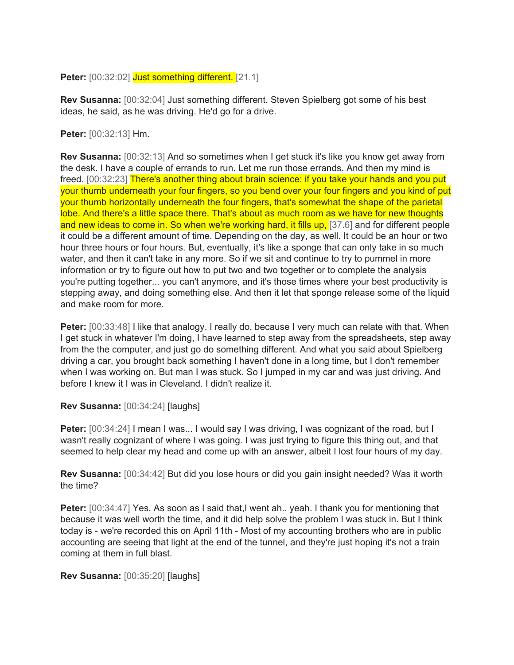**Peter:** [00:32:02] Just something different. [21.1]

**Rev Susanna:** [00:32:04] Just something different. Steven Spielberg got some of his best ideas, he said, as he was driving. He'd go for a drive.

**Peter:** [00:32:13] Hm.

**Rev Susanna:** [00:32:13] And so sometimes when I get stuck it's like you know get away from the desk. I have a couple of errands to run. Let me run those errands. And then my mind is freed. [00:32:23] There's another thing about brain science: if you take your hands and you put your thumb underneath your four fingers, so you bend over your four fingers and you kind of put your thumb horizontally underneath the four fingers, that's somewhat the shape of the parietal lobe. And there's a little space there. That's about as much room as we have for new thoughts and new ideas to come in. So when we're working hard, it fills up, [37.6] and for different people it could be a different amount of time. Depending on the day, as well. It could be an hour or two hour three hours or four hours. But, eventually, it's like a sponge that can only take in so much water, and then it can't take in any more. So if we sit and continue to try to pummel in more information or try to figure out how to put two and two together or to complete the analysis you're putting together... you can't anymore, and it's those times where your best productivity is stepping away, and doing something else. And then it let that sponge release some of the liquid and make room for more.

**Peter:**  $[00:33:48]$  I like that analogy. I really do, because I very much can relate with that. When I get stuck in whatever I'm doing, I have learned to step away from the spreadsheets, step away from the the computer, and just go do something different. And what you said about Spielberg driving a car, you brought back something I haven't done in a long time, but I don't remember when I was working on. But man I was stuck. So I jumped in my car and was just driving. And before I knew it I was in Cleveland. I didn't realize it.

#### **Rev Susanna:** [00:34:24] [laughs]

Peter: [00:34:24] I mean I was... I would say I was driving, I was cognizant of the road, but I wasn't really cognizant of where I was going. I was just trying to figure this thing out, and that seemed to help clear my head and come up with an answer, albeit I lost four hours of my day.

**Rev Susanna:** [00:34:42] But did you lose hours or did you gain insight needed? Was it worth the time?

**Peter:** [00:34:47] Yes. As soon as I said that,I went ah.. yeah. I thank you for mentioning that because it was well worth the time, and it did help solve the problem I was stuck in. But I think today is - we're recorded this on April 11th - Most of my accounting brothers who are in public accounting are seeing that light at the end of the tunnel, and they're just hoping it's not a train coming at them in full blast.

#### **Rev Susanna:** [00:35:20] [laughs]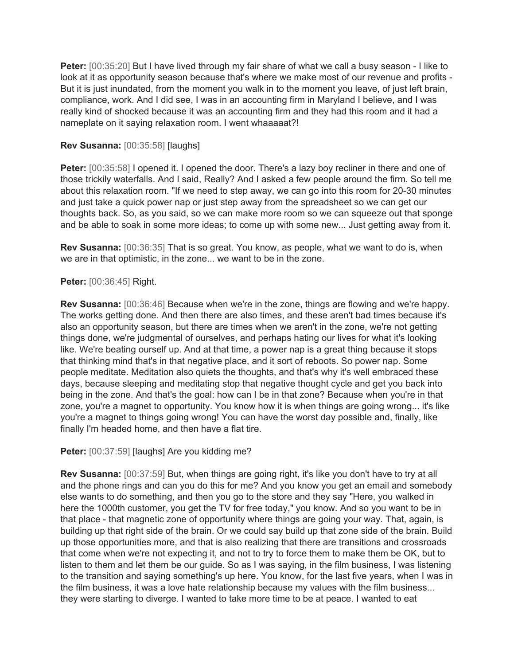**Peter:** [00:35:20] But I have lived through my fair share of what we call a busy season - I like to look at it as opportunity season because that's where we make most of our revenue and profits -But it is just inundated, from the moment you walk in to the moment you leave, of just left brain, compliance, work. And I did see, I was in an accounting firm in Maryland I believe, and I was really kind of shocked because it was an accounting firm and they had this room and it had a nameplate on it saying relaxation room. I went whaaaaat?!

# **Rev Susanna:** [00:35:58] [laughs]

**Peter:**  $[00:35:58]$  I opened it. I opened the door. There's a lazy boy recliner in there and one of those trickily waterfalls. And I said, Really? And I asked a few people around the firm. So tell me about this relaxation room. "If we need to step away, we can go into this room for 20-30 minutes and just take a quick power nap or just step away from the spreadsheet so we can get our thoughts back. So, as you said, so we can make more room so we can squeeze out that sponge and be able to soak in some more ideas; to come up with some new... Just getting away from it.

**Rev Susanna:** [00:36:35] That is so great. You know, as people, what we want to do is, when we are in that optimistic, in the zone... we want to be in the zone.

## **Peter:** [00:36:45] Right.

**Rev Susanna:** [00:36:46] Because when we're in the zone, things are flowing and we're happy. The works getting done. And then there are also times, and these aren't bad times because it's also an opportunity season, but there are times when we aren't in the zone, we're not getting things done, we're judgmental of ourselves, and perhaps hating our lives for what it's looking like. We're beating ourself up. And at that time, a power nap is a great thing because it stops that thinking mind that's in that negative place, and it sort of reboots. So power nap. Some people meditate. Meditation also quiets the thoughts, and that's why it's well embraced these days, because sleeping and meditating stop that negative thought cycle and get you back into being in the zone. And that's the goal: how can I be in that zone? Because when you're in that zone, you're a magnet to opportunity. You know how it is when things are going wrong... it's like you're a magnet to things going wrong! You can have the worst day possible and, finally, like finally I'm headed home, and then have a flat tire.

Peter: [00:37:59] [laughs] Are you kidding me?

**Rev Susanna:** [00:37:59] But, when things are going right, it's like you don't have to try at all and the phone rings and can you do this for me? And you know you get an email and somebody else wants to do something, and then you go to the store and they say "Here, you walked in here the 1000th customer, you get the TV for free today," you know. And so you want to be in that place - that magnetic zone of opportunity where things are going your way. That, again, is building up that right side of the brain. Or we could say build up that zone side of the brain. Build up those opportunities more, and that is also realizing that there are transitions and crossroads that come when we're not expecting it, and not to try to force them to make them be OK, but to listen to them and let them be our guide. So as I was saying, in the film business, I was listening to the transition and saying something's up here. You know, for the last five years, when I was in the film business, it was a love hate relationship because my values with the film business... they were starting to diverge. I wanted to take more time to be at peace. I wanted to eat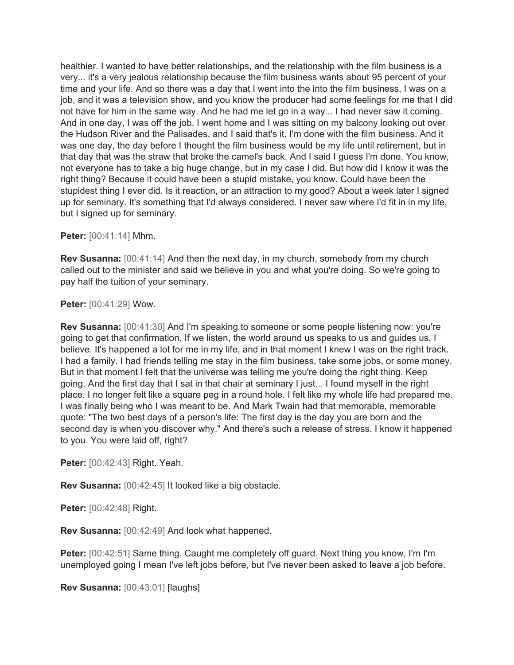healthier. I wanted to have better relationships, and the relationship with the film business is a very... it's a very jealous relationship because the film business wants about 95 percent of your time and your life. And so there was a day that I went into the into the film business, I was on a job, and it was a television show, and you know the producer had some feelings for me that I did not have for him in the same way. And he had me let go in a way... I had never saw it coming. And in one day, I was off the job. I went home and I was sitting on my balcony looking out over the Hudson River and the Palisades, and I said that's it. I'm done with the film business. And it was one day, the day before I thought the film business would be my life until retirement, but in that day that was the straw that broke the camel's back. And I said I guess I'm done. You know, not everyone has to take a big huge change, but in my case I did. But how did I know it was the right thing? Because it could have been a stupid mistake, you know. Could have been the stupidest thing I ever did. Is it reaction, or an attraction to my good? About a week later I signed up for seminary. It's something that I'd always considered. I never saw where I'd fit in in my life, but I signed up for seminary.

**Peter:** [00:41:14] Mhm.

**Rev Susanna:** [00:41:14] And then the next day, in my church, somebody from my church called out to the minister and said we believe in you and what you're doing. So we're going to pay half the tuition of your seminary.

**Peter:** [00:41:29] Wow.

**Rev Susanna:** [00:41:30] And I'm speaking to someone or some people listening now: you're going to get that confirmation. If we listen, the world around us speaks to us and guides us, I believe. It's happened a lot for me in my life, and in that moment I knew I was on the right track. I had a family. I had friends telling me stay in the film business, take some jobs, or some money. But in that moment I felt that the universe was telling me you're doing the right thing. Keep going. And the first day that I sat in that chair at seminary I just... I found myself in the right place. I no longer felt like a square peg in a round hole. I felt like my whole life had prepared me. I was finally being who I was meant to be. And Mark Twain had that memorable, memorable quote: "The two best days of a person's life: The first day is the day you are born and the second day is when you discover why." And there's such a release of stress. I know it happened to you. You were laid off, right?

**Peter:** [00:42:43] Right. Yeah.

**Rev Susanna:** [00:42:45] It looked like a big obstacle.

**Peter:** [00:42:48] Right.

**Rev Susanna:** [00:42:49] And look what happened.

**Peter:** [00:42:51] Same thing. Caught me completely off guard. Next thing you know, I'm I'm unemployed going I mean I've left jobs before, but I've never been asked to leave a job before.

**Rev Susanna:** [00:43:01] [laughs]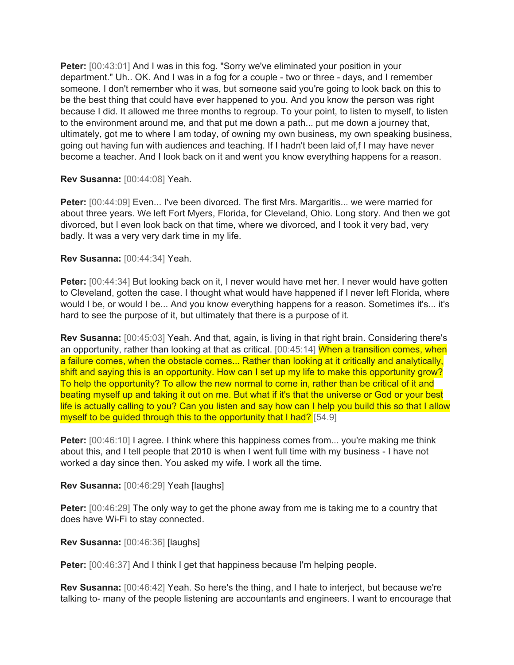**Peter:** [00:43:01] And I was in this fog. "Sorry we've eliminated your position in your department." Uh.. OK. And I was in a fog for a couple - two or three - days, and I remember someone. I don't remember who it was, but someone said you're going to look back on this to be the best thing that could have ever happened to you. And you know the person was right because I did. It allowed me three months to regroup. To your point, to listen to myself, to listen to the environment around me, and that put me down a path... put me down a journey that, ultimately, got me to where I am today, of owning my own business, my own speaking business, going out having fun with audiences and teaching. If I hadn't been laid of,f I may have never become a teacher. And I look back on it and went you know everything happens for a reason.

## **Rev Susanna:** [00:44:08] Yeah.

**Peter:** [00:44:09] Even... I've been divorced. The first Mrs. Margaritis... we were married for about three years. We left Fort Myers, Florida, for Cleveland, Ohio. Long story. And then we got divorced, but I even look back on that time, where we divorced, and I took it very bad, very badly. It was a very very dark time in my life.

## **Rev Susanna:** [00:44:34] Yeah.

**Peter:** [00:44:34] But looking back on it, I never would have met her. I never would have gotten to Cleveland, gotten the case. I thought what would have happened if I never left Florida, where would I be, or would I be... And you know everything happens for a reason. Sometimes it's... it's hard to see the purpose of it, but ultimately that there is a purpose of it.

**Rev Susanna:** [00:45:03] Yeah. And that, again, is living in that right brain. Considering there's an opportunity, rather than looking at that as critical. [00:45:14] When a transition comes, when a failure comes, when the obstacle comes... Rather than looking at it critically and analytically, shift and saying this is an opportunity. How can I set up my life to make this opportunity grow? To help the opportunity? To allow the new normal to come in, rather than be critical of it and beating myself up and taking it out on me. But what if it's that the universe or God or your best life is actually calling to you? Can you listen and say how can I help you build this so that I allow myself to be guided through this to the opportunity that I had? [54.9]

**Peter:**  $[00:46:10]$  I agree. I think where this happiness comes from... you're making me think about this, and I tell people that 2010 is when I went full time with my business - I have not worked a day since then. You asked my wife. I work all the time.

**Rev Susanna:** [00:46:29] Yeah [laughs]

**Peter:** [00:46:29] The only way to get the phone away from me is taking me to a country that does have Wi-Fi to stay connected.

**Rev Susanna:** [00:46:36] [laughs]

**Peter:** [00:46:37] And I think I get that happiness because I'm helping people.

**Rev Susanna:** [00:46:42] Yeah. So here's the thing, and I hate to interject, but because we're talking to- many of the people listening are accountants and engineers. I want to encourage that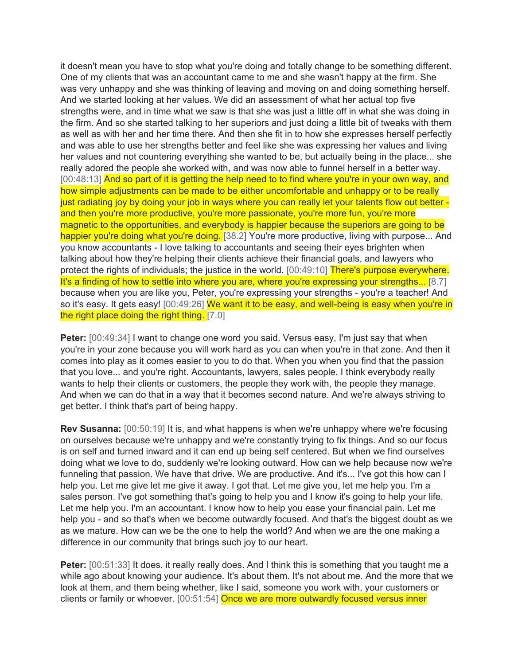it doesn't mean you have to stop what you're doing and totally change to be something different. One of my clients that was an accountant came to me and she wasn't happy at the firm. She was very unhappy and she was thinking of leaving and moving on and doing something herself. And we started looking at her values. We did an assessment of what her actual top five strengths were, and in time what we saw is that she was just a little off in what she was doing in the firm. And so she started talking to her superiors and just doing a little bit of tweaks with them as well as with her and her time there. And then she fit in to how she expresses herself perfectly and was able to use her strengths better and feel like she was expressing her values and living her values and not countering everything she wanted to be, but actually being in the place... she really adored the people she worked with, and was now able to funnel herself in a better way. [00:48:13] And so part of it is getting the help need to to find where you're in your own way, and how simple adjustments can be made to be either uncomfortable and unhappy or to be really just radiating joy by doing your job in ways where you can really let your talents flow out better and then you're more productive, you're more passionate, you're more fun, you're more magnetic to the opportunities, and everybody is happier because the superiors are going to be happier you're doing what you're doing. [38.2] You're more productive, living with purpose... And you know accountants - I love talking to accountants and seeing their eyes brighten when talking about how they're helping their clients achieve their financial goals, and lawyers who protect the rights of individuals; the justice in the world. [00:49:10] There's purpose everywhere. It's a finding of how to settle into where you are, where you're expressing your strengths... [8.7] because when you are like you, Peter, you're expressing your strengths - you're a teacher! And so it's easy. It gets easy! [00:49:26] We want it to be easy, and well-being is easy when you're in the right place doing the right thing. [7.0]

**Peter:** [00:49:34] I want to change one word you said. Versus easy, I'm just say that when you're in your zone because you will work hard as you can when you're in that zone. And then it comes into play as it comes easier to you to do that. When you when you find that the passion that you love... and you're right. Accountants, lawyers, sales people. I think everybody really wants to help their clients or customers, the people they work with, the people they manage. And when we can do that in a way that it becomes second nature. And we're always striving to get better. I think that's part of being happy.

**Rev Susanna:** [00:50:19] It is, and what happens is when we're unhappy where we're focusing on ourselves because we're unhappy and we're constantly trying to fix things. And so our focus is on self and turned inward and it can end up being self centered. But when we find ourselves doing what we love to do, suddenly we're looking outward. How can we help because now we're funneling that passion. We have that drive. We are productive. And it's... I've got this how can I help you. Let me give let me give it away. I got that. Let me give you, let me help you. I'm a sales person. I've got something that's going to help you and I know it's going to help your life. Let me help you. I'm an accountant. I know how to help you ease your financial pain. Let me help you - and so that's when we become outwardly focused. And that's the biggest doubt as we as we mature. How can we be the one to help the world? And when we are the one making a difference in our community that brings such joy to our heart.

**Peter:** [00:51:33] It does. it really really does. And I think this is something that you taught me a while ago about knowing your audience. It's about them. It's not about me. And the more that we look at them, and them being whether, like I said, someone you work with, your customers or clients or family or whoever. [00:51:54] Once we are more outwardly focused versus inner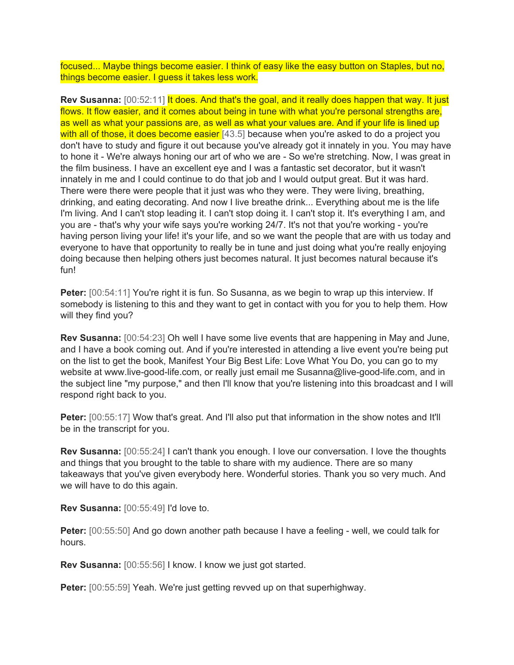focused... Maybe things become easier. I think of easy like the easy button on Staples, but no, things become easier. I guess it takes less work.

**Rev Susanna:** [00:52:11] It does. And that's the goal, and it really does happen that way. It just flows. It flow easier, and it comes about being in tune with what you're personal strengths are, as well as what your passions are, as well as what your values are. And if your life is lined up with all of those, it does become easier [43.5] because when you're asked to do a project you don't have to study and figure it out because you've already got it innately in you. You may have to hone it - We're always honing our art of who we are - So we're stretching. Now, I was great in the film business. I have an excellent eye and I was a fantastic set decorator, but it wasn't innately in me and I could continue to do that job and I would output great. But it was hard. There were there were people that it just was who they were. They were living, breathing, drinking, and eating decorating. And now I live breathe drink... Everything about me is the life I'm living. And I can't stop leading it. I can't stop doing it. I can't stop it. It's everything I am, and you are - that's why your wife says you're working 24/7. It's not that you're working - you're having person living your life! it's your life, and so we want the people that are with us today and everyone to have that opportunity to really be in tune and just doing what you're really enjoying doing because then helping others just becomes natural. It just becomes natural because it's fun!

**Peter:** [00:54:11] You're right it is fun. So Susanna, as we begin to wrap up this interview. If somebody is listening to this and they want to get in contact with you for you to help them. How will they find you?

**Rev Susanna:** [00:54:23] Oh well I have some live events that are happening in May and June, and I have a book coming out. And if you're interested in attending a live event you're being put on the list to get the book, Manifest Your Big Best Life: Love What You Do, you can go to my website at www.live-good-life.com, or really just email me Susanna@live-good-life.com, and in the subject line "my purpose," and then I'll know that you're listening into this broadcast and I will respond right back to you.

**Peter:** [00:55:17] Wow that's great. And I'll also put that information in the show notes and It'll be in the transcript for you.

**Rev Susanna:** [00:55:24] I can't thank you enough. I love our conversation. I love the thoughts and things that you brought to the table to share with my audience. There are so many takeaways that you've given everybody here. Wonderful stories. Thank you so very much. And we will have to do this again.

**Rev Susanna:** [00:55:49] I'd love to.

**Peter:** [00:55:50] And go down another path because I have a feeling - well, we could talk for hours.

**Rev Susanna:** [00:55:56] I know. I know we just got started.

**Peter:** [00:55:59] Yeah. We're just getting revved up on that superhighway.